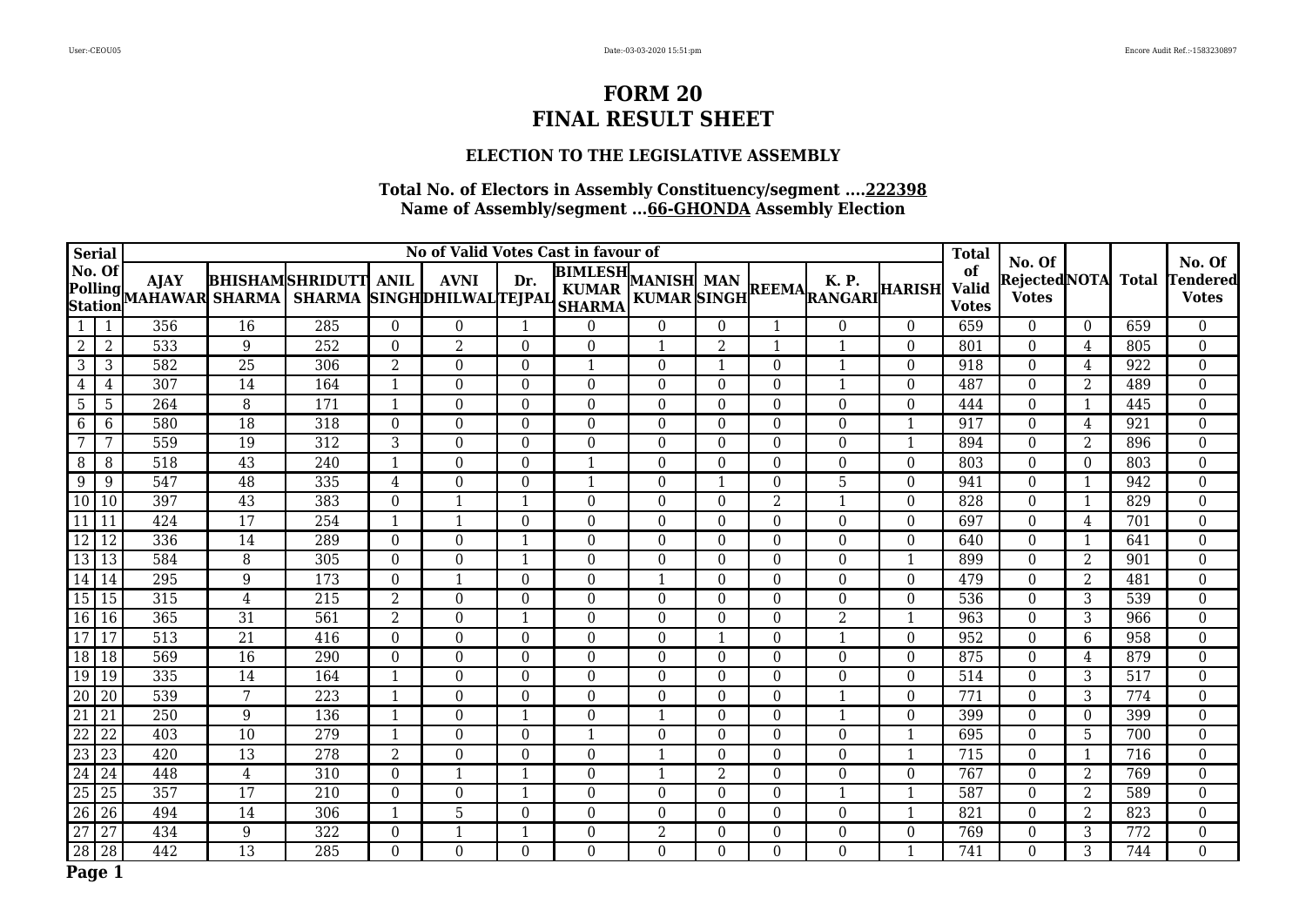### **ELECTION TO THE LEGISLATIVE ASSEMBLY**

| <b>Serial</b>                              |                 |                               | No of Valid Votes Cast in favour of |                                                     |                |                  |                  |                                            |                |                |                  |                                                              |              |                                    |                                          |                |                  |                                           |
|--------------------------------------------|-----------------|-------------------------------|-------------------------------------|-----------------------------------------------------|----------------|------------------|------------------|--------------------------------------------|----------------|----------------|------------------|--------------------------------------------------------------|--------------|------------------------------------|------------------------------------------|----------------|------------------|-------------------------------------------|
| No. Of<br><b>Polling</b><br><b>Station</b> |                 | <b>AJAY</b><br>MAHAWAR SHARMA |                                     | <b>BHISHAMSHRIDUTT</b><br>SHARMA SINGHDHILWALTEJPAL | <b>ANIL</b>    | <b>AVNI</b>      | Dr.              | <b>BIMLESH</b> MANISH MAN<br><b>SHARMA</b> |                |                |                  | K. P.<br>MANISH MAN REEMAL A. P.<br>KUMAR SINGH REEMARANGARI |              | of<br><b>Valid</b><br><b>Votes</b> | No. Of<br>Rejected NOTA <br><b>Votes</b> |                | <b>Total</b>     | No. Of<br><b>Tendered</b><br><b>Votes</b> |
| $\mathbf{1}$                               | 1               | 356                           | 16                                  | 285                                                 | $\theta$       | $\overline{0}$   | 1                | $\Omega$                                   | $\theta$       | $\Omega$       | $\mathbf{1}$     | $\Omega$                                                     | $\theta$     | 659                                | $\Omega$                                 | $\overline{0}$ | 659              | $\overline{0}$                            |
| $\overline{2}$                             | $\overline{2}$  | 533                           | $\overline{9}$                      | 252                                                 | $\Omega$       | $\overline{2}$   | $\Omega$         | $\mathbf{0}$                               | 1              | $\overline{2}$ |                  | 1                                                            | $\Omega$     | 801                                | $\Omega$                                 | 4              | 805              | $\overline{0}$                            |
| 3                                          | 3               | 582                           | 25                                  | 306                                                 | $\overline{2}$ | $\Omega$         | $\Omega$         | $\mathbf{1}$                               | $\Omega$       |                | $\Omega$         |                                                              | $\theta$     | 918                                | $\theta$                                 | 4              | 922              | $\boldsymbol{0}$                          |
| 4                                          | 4               | $\overline{307}$              | 14                                  | 164                                                 | 1              | $\Omega$         | $\Omega$         | $\theta$                                   | $\theta$       | $\theta$       | $\Omega$         | $\mathbf{1}$                                                 | $\theta$     | 487                                | $\theta$                                 | 2              | 489              | $\boldsymbol{0}$                          |
| 5                                          | 5               | 264                           | $\, 8$                              | 171                                                 | $\mathbf{1}$   | $\Omega$         | $\overline{0}$   | $\theta$                                   | $\Omega$       | $\Omega$       | $\mathbf{0}$     | $\mathbf{0}$                                                 | $\Omega$     | 444                                | $\mathbf{0}$                             |                | 445              | $\overline{0}$                            |
| 6                                          | 6               | 580                           | $\overline{18}$                     | 318                                                 | $\theta$       | $\Omega$         | $\overline{0}$   | $\mathbf{0}$                               | $\Omega$       | $\Omega$       | $\overline{0}$   | $\boldsymbol{0}$                                             | $\mathbf 1$  | 917                                | $\theta$                                 | 4              | 921              | $\mathbf{0}$                              |
| 7                                          | 7               | 559                           | 19                                  | 312                                                 | 3              | $\Omega$         | $\Omega$         | $\boldsymbol{0}$                           | $\Omega$       | $\theta$       | $\boldsymbol{0}$ | $\boldsymbol{0}$                                             | $\mathbf{1}$ | 894                                | $\boldsymbol{0}$                         | 2              | 896              | $\boldsymbol{0}$                          |
| 8                                          | 8               | 518                           | 43                                  | $\overline{240}$                                    | $\mathbf{1}$   | $\Omega$         | $\Omega$         | $\mathbf{1}$                               | $\Omega$       | $\theta$       | $\Omega$         | $\theta$                                                     | $\Omega$     | 803                                | $\theta$                                 | $\Omega$       | 803              | $\boldsymbol{0}$                          |
| 9                                          | 9               | 547                           | 48                                  | 335                                                 | 4              | $\Omega$         | $\Omega$         | 1                                          | $\Omega$       | $\mathbf 1$    | $\Omega$         | 5                                                            | $\Omega$     | 941                                | $\Omega$                                 |                | 942              | $\boldsymbol{0}$                          |
| 10                                         | 10              | 397                           | 43                                  | 383                                                 | $\Omega$       |                  |                  | $\Omega$                                   | $\Omega$       | $\Omega$       | $\overline{2}$   | 1                                                            | $\theta$     | 828                                | $\theta$                                 |                | 829              | $\overline{0}$                            |
| 11                                         | 11              | 424                           | $\overline{17}$                     | 254                                                 | 1              |                  | $\theta$         | $\Omega$                                   | $\Omega$       | $\theta$       | $\theta$         | $\theta$                                                     | $\theta$     | 697                                | $\theta$                                 | 4              | 701              | $\mathbf{0}$                              |
| 12                                         | 12              | 336                           | 14                                  | 289                                                 | $\overline{0}$ | $\boldsymbol{0}$ | 1                | $\mathbf{0}$                               | $\Omega$       | $\Omega$       | $\boldsymbol{0}$ | $\boldsymbol{0}$                                             | $\theta$     | 640                                | $\overline{0}$                           |                | 641              | $\overline{0}$                            |
| $\overline{13}$                            | $\overline{13}$ | 584                           | $\overline{8}$                      | 305                                                 | $\Omega$       | $\Omega$         |                  | $\Omega$                                   | $\Omega$       | $\Omega$       | $\Omega$         | $\theta$                                                     | -1           | 899                                | $\Omega$                                 | 2              | 901              | $\overline{0}$                            |
| 14                                         | 14              | 295                           | 9                                   | 173                                                 | $\Omega$       |                  | $\Omega$         | $\Omega$                                   | 1              | $\theta$       | $\Omega$         | $\theta$                                                     | $\theta$     | 479                                | $\Omega$                                 | 2              | 481              | $\boldsymbol{0}$                          |
| 15                                         | 15              | 315                           | 4                                   | 215                                                 | 2              | $\Omega$         | $\Omega$         | $\overline{0}$                             | $\overline{0}$ | $\theta$       | $\overline{0}$   | $\mathbf{0}$                                                 | $\mathbf{0}$ | 536                                | $\mathbf{0}$                             | 3              | 539              | $\boldsymbol{0}$                          |
| 16                                         | 16              | 365                           | $\overline{31}$                     | 561                                                 | $\overline{2}$ | $\Omega$         |                  | $\Omega$                                   | $\Omega$       | $\Omega$       | $\Omega$         | $\overline{2}$                                               |              | 963                                | $\Omega$                                 | 3              | 966              | $\overline{0}$                            |
| $\overline{17}$                            | 17              | $\overline{513}$              | $\overline{21}$                     | 416                                                 | $\Omega$       | $\Omega$         | $\Omega$         | $\Omega$                                   | $\Omega$       | $\mathbf 1$    | $\Omega$         | 1                                                            | $\theta$     | 952                                | $\Omega$                                 | 6              | 958              | $\boldsymbol{0}$                          |
| 18                                         | 18              | 569                           | 16                                  | 290                                                 | $\overline{0}$ | $\overline{0}$   | $\boldsymbol{0}$ | $\boldsymbol{0}$                           | $\overline{0}$ | $\overline{0}$ | $\boldsymbol{0}$ | $\boldsymbol{0}$                                             | $\mathbf{0}$ | 875                                | $\boldsymbol{0}$                         | 4              | 879              | $\boldsymbol{0}$                          |
| 19                                         | 19              | 335                           | 14                                  | 164                                                 | $\mathbf{1}$   | $\Omega$         | $\Omega$         | $\Omega$                                   | $\Omega$       | $\Omega$       | $\Omega$         | $\theta$                                                     | $\Omega$     | 514                                | $\theta$                                 | 3              | 517              | $\boldsymbol{0}$                          |
| $\overline{20}$                            | 20              | 539                           | 7                                   | 223                                                 | 1              | $\Omega$         | $\Omega$         | $\Omega$                                   | $\Omega$       | $\Omega$       | $\Omega$         | 1                                                            | $\theta$     | 771                                | $\Omega$                                 | 3              | 774              | $\boldsymbol{0}$                          |
| 21                                         | 21              | 250                           | 9                                   | 136                                                 | $\mathbf{1}$   | $\Omega$         |                  | $\theta$                                   | $\mathbf{1}$   | $\theta$       | $\boldsymbol{0}$ | 1                                                            | $\theta$     | 399                                | $\Omega$                                 | $\overline{0}$ | 399              | $\boldsymbol{0}$                          |
| $\overline{22}$                            | $\overline{22}$ | $\overline{403}$              | $\overline{10}$                     | $\overline{279}$                                    | $\mathbf{1}$   | $\Omega$         | $\Omega$         | $\mathbf{1}$                               | $\Omega$       | $\Omega$       | $\Omega$         | $\Omega$                                                     |              | 695                                | $\Omega$                                 | 5              | 700              | $\boldsymbol{0}$                          |
| $\overline{23}$                            | 23              | 420                           | 13                                  | 278                                                 | 2              | $\Omega$         | $\Omega$         | $\theta$                                   | $\mathbf 1$    | $\theta$       | $\Omega$         | $\theta$                                                     | $\mathbf{1}$ | 715                                | $\Omega$                                 | $\mathbf{1}$   | 716              | $\boldsymbol{0}$                          |
| $\overline{24}$                            | 24              | 448                           | $\overline{4}$                      | 310                                                 | $\theta$       |                  |                  | $\theta$                                   | $\mathbf 1$    | $\overline{2}$ | $\Omega$         | $\mathbf{0}$                                                 | $\theta$     | 767                                | $\Omega$                                 | 2              | 769              | $\boldsymbol{0}$                          |
| $\overline{25}$                            | 25              | 357                           | 17                                  | 210                                                 | $\Omega$       | $\Omega$         |                  | $\Omega$                                   | $\Omega$       | $\Omega$       | $\Omega$         | 1                                                            |              | 587                                | $\Omega$                                 | 2              | 589              | $\overline{0}$                            |
| $\overline{26}$                            | 26              | 494                           | 14                                  | 306                                                 | $\mathbf{1}$   | 5                | $\overline{0}$   | $\overline{0}$                             | $\overline{0}$ | $\theta$       | $\overline{0}$   | $\mathbf{0}$                                                 | $\mathbf{1}$ | 821                                | $\mathbf{0}$                             | 2              | 823              | $\overline{0}$                            |
| 27                                         | $\overline{27}$ | 434                           | $\boldsymbol{9}$                    | 322                                                 | $\Omega$       |                  |                  | $\Omega$                                   | $\overline{2}$ | $\theta$       | $\boldsymbol{0}$ | $\theta$                                                     | $\Omega$     | 769                                | $\boldsymbol{0}$                         | 3              | $\overline{772}$ | $\boldsymbol{0}$                          |
| 28                                         | $\overline{28}$ | 442                           | $\overline{13}$                     | $\overline{285}$                                    | $\Omega$       | $\Omega$         | $\Omega$         | $\overline{0}$                             | $\Omega$       | $\Omega$       | $\overline{0}$   | $\mathbf{0}$                                                 | $\mathbf{1}$ | 741                                | $\Omega$                                 | 3              | 744              | $\overline{0}$                            |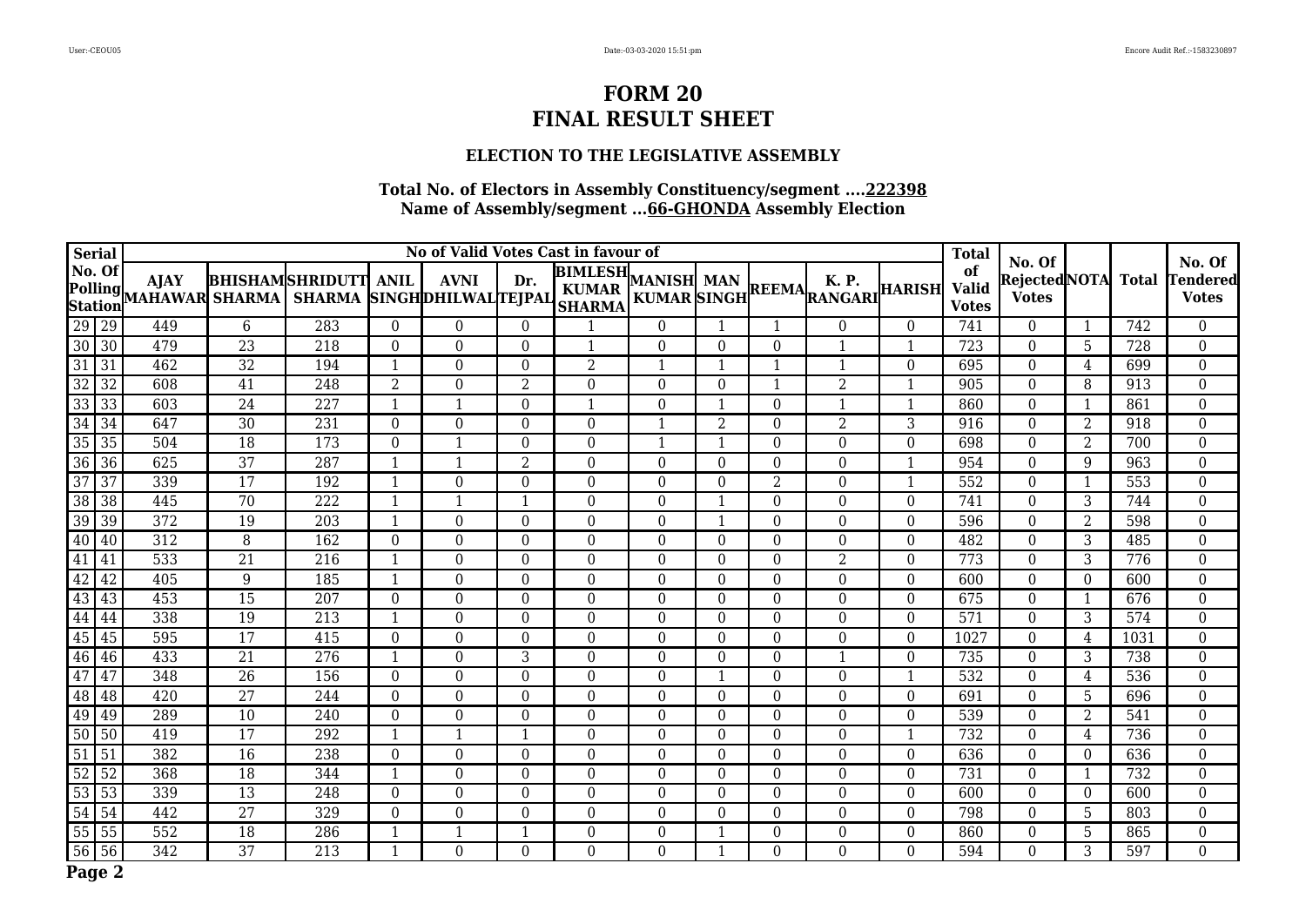### **ELECTION TO THE LEGISLATIVE ASSEMBLY**

| <b>Serial</b>   |                                  |                                      | No of Valid Votes Cast in favour of |                                                     |              |             |                |                                                   |             |                |                |                                                               |              |                                    |                                          |                 |                  |                                    |
|-----------------|----------------------------------|--------------------------------------|-------------------------------------|-----------------------------------------------------|--------------|-------------|----------------|---------------------------------------------------|-------------|----------------|----------------|---------------------------------------------------------------|--------------|------------------------------------|------------------------------------------|-----------------|------------------|------------------------------------|
| No. Of          | <b>Polling</b><br><b>Station</b> | <b>AJAY</b><br><b>MAHAWAR SHARMA</b> |                                     | <b>BHISHAMSHRIDUTT</b><br>SHARMA SINGHDHILWALTEJPAL | <b>ANIL</b>  | <b>AVNI</b> | Dr.            | <b>BIMLESH</b> ,<br><b>KUMAR</b><br><b>SHARMA</b> | MANISH MAN  |                |                | <b>K.P.</b><br>NANISH MAN<br>KUMAR SINGH REEMA RANGARI HARISH |              | of<br><b>Valid</b><br><b>Votes</b> | No. Of<br>Rejected NOTA <br><b>Votes</b> |                 | <b>Total</b>     | No. Of<br>Tendered<br><b>Votes</b> |
| $\sqrt{29}$ 29  |                                  | 449                                  | $6\phantom{1}$                      | 283                                                 | $\Omega$     | $\Omega$    | $\Omega$       | 1                                                 | $\theta$    |                |                | $\theta$                                                      | $\Omega$     | 741                                | $\Omega$                                 |                 | 742              | $\overline{0}$                     |
| $\overline{30}$ | $\overline{30}$                  | 479                                  | $\overline{23}$                     | $\overline{218}$                                    | $\Omega$     | $\Omega$    | $\Omega$       | $\mathbf{1}$                                      | $\Omega$    | $\Omega$       | $\Omega$       | 1                                                             | $\mathbf 1$  | $\overline{723}$                   | $\Omega$                                 | $\overline{5}$  | $\overline{728}$ | $\mathbf{0}$                       |
| 31              | 31                               | 462                                  | 32                                  | 194                                                 | $\mathbf{1}$ | $\Omega$    | $\Omega$       | $\overline{2}$                                    | $\mathbf 1$ | $\mathbf{1}$   |                | 1                                                             | $\Omega$     | 695                                | $\theta$                                 | 4               | 699              | $\boldsymbol{0}$                   |
| $\overline{32}$ | $\overline{32}$                  | 608                                  | $\overline{41}$                     | 248                                                 | 2            | $\Omega$    | $\overline{2}$ | $\theta$                                          | $\Omega$    | $\Omega$       | -1             | $\overline{2}$                                                | $\mathbf 1$  | 905                                | $\theta$                                 | 8               | 913              | $\mathbf{0}$                       |
| 33              | 33                               | 603                                  | 24                                  | 227                                                 | 1            |             | $\Omega$       | $\mathbf{1}$                                      | $\Omega$    | -1             | $\Omega$       | 1                                                             | $\mathbf 1$  | 860                                | $\Omega$                                 |                 | 861              | $\overline{0}$                     |
| $\overline{34}$ | 34                               | 647                                  | 30                                  | 231                                                 | $\theta$     | $\Omega$    | $\Omega$       | $\theta$                                          | 1           | $\overline{2}$ | $\Omega$       | 2                                                             | 3            | 916                                | $\Omega$                                 | 2               | 918              | $\overline{0}$                     |
| $\overline{35}$ | $\overline{35}$                  | 504                                  | 18                                  | 173                                                 | $\Omega$     |             | $\Omega$       | $\theta$                                          | -1          |                | $\Omega$       | $\Omega$                                                      | $\Omega$     | 698                                | $\theta$                                 | 2               | 700              | $\mathbf 0$                        |
| $\overline{36}$ | 36                               | 625                                  | $\overline{37}$                     | 287                                                 | $\mathbf{1}$ |             | $\overline{2}$ | $\Omega$                                          | $\Omega$    | $\theta$       | $\Omega$       | $\Omega$                                                      | $\mathbf{1}$ | 954                                | $\Omega$                                 | 9               | 963              | $\overline{0}$                     |
| $\overline{37}$ | 37                               | 339                                  | 17                                  | 192                                                 | 1            | $\Omega$    | $\Omega$       | $\Omega$                                          | $\Omega$    | $\theta$       | $\overline{2}$ | $\theta$                                                      | -1           | 552                                | $\Omega$                                 |                 | 553              | $\boldsymbol{0}$                   |
| $\overline{38}$ | $\overline{38}$                  | 445                                  | 70                                  | 222                                                 | -1           |             |                | $\Omega$                                          | $\Omega$    |                | $\Omega$       | $\Omega$                                                      | $\Omega$     | 741                                | $\theta$                                 | 3               | 744              | $\boldsymbol{0}$                   |
| 39              | 39                               | $\overline{372}$                     | 19                                  | $\overline{203}$                                    | $\mathbf{1}$ | $\Omega$    | $\Omega$       | $\overline{0}$                                    | $\Omega$    | $\mathbf 1$    | $\overline{0}$ | $\mathbf{0}$                                                  | $\Omega$     | 596                                | $\Omega$                                 | 2               | 598              | $\mathbf 0$                        |
| 40              | 40                               | 312                                  | 8                                   | 162                                                 | $\theta$     | $\Omega$    | $\Omega$       | $\Omega$                                          | $\Omega$    | $\Omega$       | $\Omega$       | $\theta$                                                      | $\theta$     | 482                                | $\Omega$                                 | 3               | 485              | $\boldsymbol{0}$                   |
| 41              | 41                               | 533                                  | $\overline{21}$                     | 216                                                 | -1           | $\theta$    | $\theta$       | $\theta$                                          | $\Omega$    | $\Omega$       | $\overline{0}$ | 2                                                             | $\Omega$     | 773                                | $\theta$                                 | 3               | 776              | $\boldsymbol{0}$                   |
| $\overline{42}$ | 42                               | $\overline{405}$                     | 9                                   | 185                                                 | 1            | $\Omega$    | $\Omega$       | $\Omega$                                          | $\Omega$    | $\theta$       | $\overline{0}$ | $\mathbf{0}$                                                  | $\theta$     | 600                                | $\Omega$                                 | $\overline{0}$  | 600              | $\overline{0}$                     |
| 43              | 43                               | 453                                  | $\overline{15}$                     | 207                                                 | $\Omega$     | $\Omega$    | $\Omega$       | $\mathbf{0}$                                      | $\Omega$    | $\Omega$       | $\Omega$       | $\mathbf{0}$                                                  | $\Omega$     | 675                                | $\Omega$                                 |                 | 676              | $\boldsymbol{0}$                   |
| 44              | 44                               | 338                                  | 19                                  | 213                                                 | $\mathbf 1$  | $\Omega$    | $\Omega$       | $\Omega$                                          | $\Omega$    | $\theta$       | $\overline{0}$ | $\Omega$                                                      | $\Omega$     | 571                                | $\theta$                                 | 3               | 574              | $\boldsymbol{0}$                   |
| $\overline{45}$ | 45                               | 595                                  | $\overline{17}$                     | 415                                                 | $\theta$     | $\Omega$    | $\Omega$       | $\theta$                                          | $\Omega$    | $\theta$       | $\Omega$       | $\theta$                                                      | $\theta$     | 1027                               | $\Omega$                                 | 4               | 1031             | $\boldsymbol{0}$                   |
| 46              | 46                               | 433                                  | 21                                  | 276                                                 | $\mathbf{1}$ | $\Omega$    | 3              | $\mathbf{0}$                                      | $\Omega$    | $\Omega$       | $\overline{0}$ | 1                                                             | $\Omega$     | 735                                | $\mathbf{0}$                             | 3               | 738              | $\boldsymbol{0}$                   |
| 47              | 47                               | 348                                  | $\overline{26}$                     | 156                                                 | $\Omega$     | $\Omega$    | $\Omega$       | $\Omega$                                          | $\Omega$    | $\mathbf 1$    | $\overline{0}$ | $\Omega$                                                      |              | 532                                | $\theta$                                 | 4               | 536              | $\boldsymbol{0}$                   |
| 48              | 48                               | 420                                  | 27                                  | 244                                                 | $\Omega$     | $\Omega$    | $\Omega$       | $\boldsymbol{0}$                                  | $\Omega$    | $\theta$       | $\overline{0}$ | $\boldsymbol{0}$                                              | $\theta$     | 691                                | $\theta$                                 | 5               | 696              | $\boldsymbol{0}$                   |
| 49              | 49                               | 289                                  | 10                                  | 240                                                 | $\Omega$     | $\Omega$    | $\overline{0}$ | $\mathbf{0}$                                      | $\Omega$    | $\Omega$       | $\overline{0}$ | $\Omega$                                                      | $\Omega$     | 539                                | $\mathbf{0}$                             | $\overline{2}$  | 541              | $\overline{0}$                     |
| $\overline{50}$ | 50                               | 419                                  | $\overline{17}$                     | 292                                                 | $\mathbf{1}$ |             |                | $\Omega$                                          | $\Omega$    | $\Omega$       | $\Omega$       | $\Omega$                                                      | $\mathbf 1$  | $\overline{732}$                   | $\Omega$                                 | 4               | 736              | $\boldsymbol{0}$                   |
| $\overline{51}$ | 51                               | 382                                  | 16                                  | 238                                                 | $\theta$     | $\Omega$    | $\Omega$       | $\theta$                                          | $\Omega$    | $\theta$       | $\Omega$       | $\boldsymbol{0}$                                              | $\theta$     | 636                                | $\boldsymbol{0}$                         | $\overline{0}$  | 636              | $\overline{0}$                     |
| $\overline{52}$ | 52                               | 368                                  | $\overline{18}$                     | 344                                                 | $\mathbf{1}$ | $\Omega$    | $\Omega$       | $\Omega$                                          | $\Omega$    | $\Omega$       | $\Omega$       | $\theta$                                                      | $\Omega$     | $\overline{731}$                   | $\Omega$                                 |                 | 732              | $\boldsymbol{0}$                   |
| $\overline{53}$ | 53                               | 339                                  | 13                                  | 248                                                 | $\Omega$     | $\Omega$    | $\theta$       | $\Omega$                                          | $\Omega$    | $\Omega$       | $\Omega$       | $\theta$                                                      | $\Omega$     | 600                                | $\Omega$                                 | $\Omega$        | 600              | $\mathbf{0}$                       |
| 54              | 54                               | 442                                  | $\overline{27}$                     | 329                                                 | $\Omega$     | $\Omega$    | $\Omega$       | $\Omega$                                          | $\Omega$    | $\Omega$       | $\theta$       | $\Omega$                                                      | $\theta$     | 798                                | $\theta$                                 | $5\phantom{.0}$ | 803              | $\overline{0}$                     |
| $\overline{55}$ | 55                               | 552                                  | 18                                  | 286                                                 | -1           |             |                | $\Omega$                                          | $\Omega$    |                | $\mathbf{0}$   | $\theta$                                                      | $\theta$     | 860                                | $\theta$                                 | $\overline{5}$  | 865              | $\boldsymbol{0}$                   |
| $\overline{56}$ | 56                               | 342                                  | $\overline{37}$                     | 213                                                 | $\mathbf{1}$ | $\Omega$    | $\Omega$       | $\Omega$                                          | $\Omega$    |                | $\Omega$       | $\theta$                                                      | $\Omega$     | 594                                | $\Omega$                                 | 3               | 597              | $\overline{0}$                     |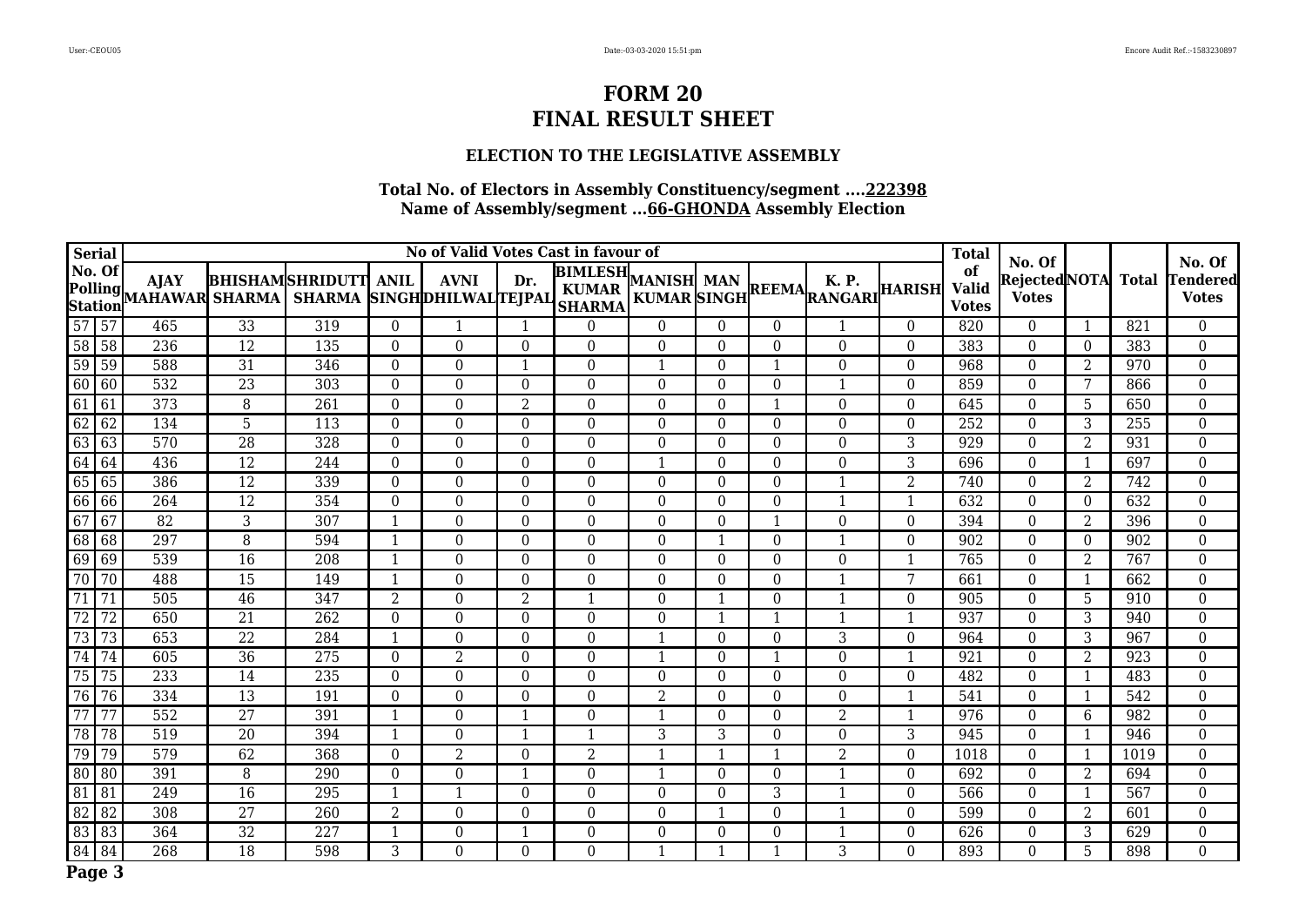### **ELECTION TO THE LEGISLATIVE ASSEMBLY**

| <b>Serial</b>                              |                 |                               |                 |                                                     | <b>Total</b>   |                |                |                                            |                |          |                  |                                                         |                |                                    |                                          |                 |       |                                           |
|--------------------------------------------|-----------------|-------------------------------|-----------------|-----------------------------------------------------|----------------|----------------|----------------|--------------------------------------------|----------------|----------|------------------|---------------------------------------------------------|----------------|------------------------------------|------------------------------------------|-----------------|-------|-------------------------------------------|
| No. Of<br><b>Polling</b><br><b>Station</b> |                 | <b>AJAY</b><br>MAHAWAR SHARMA |                 | <b>BHISHAMSHRIDUTT</b><br>SHARMA SINGHDHILWALTEJPAL | <b>ANIL</b>    | <b>AVNI</b>    | Dr.            | <b>BIMLESH</b> MANISH MAN<br><b>SHARMA</b> |                |          |                  | K. P.<br>NANISH MAN<br>KUMAR SINGH REEMA RANGARI HARISH |                | of<br><b>Valid</b><br><b>Votes</b> | No. Of<br>Rejected NOTA <br><b>Votes</b> |                 | Total | No. Of<br><b>Tendered</b><br><b>Votes</b> |
| $\overline{57}$                            | $\overline{57}$ | 465                           | 33              | 319                                                 | $\theta$       |                |                | $\overline{0}$                             | $\theta$       | $\Omega$ | $\overline{0}$   |                                                         | $\theta$       | 820                                | $\overline{0}$                           |                 | 821   | $\overline{0}$                            |
| $\overline{58}$                            | $\sqrt{58}$     | 236                           | $\overline{12}$ | 135                                                 | $\Omega$       | $\Omega$       | $\overline{0}$ | $\overline{0}$                             | $\Omega$       | $\theta$ | $\Omega$         | $\mathbf{0}$                                            | $\Omega$       | 383                                | $\mathbf{0}$                             | $\Omega$        | 383   | $\boldsymbol{0}$                          |
| $\overline{59}$                            | 59              | 588                           | 31              | 346                                                 | $\Omega$       | $\Omega$       |                | $\Omega$                                   | $\mathbf{1}$   | $\Omega$ |                  | $\theta$                                                | $\Omega$       | 968                                | $\Omega$                                 | 2               | 970   | $\boldsymbol{0}$                          |
| 60                                         | 60              | 532                           | $\overline{23}$ | 303                                                 | $\Omega$       | $\Omega$       | $\Omega$       | $\theta$                                   | $\Omega$       | $\theta$ | $\Omega$         | 1                                                       | $\mathbf{0}$   | 859                                | $\Omega$                                 | $7\phantom{.0}$ | 866   | $\boldsymbol{0}$                          |
| 61                                         | 61              | 373                           | 8               | 261                                                 | $\Omega$       | $\Omega$       | $\overline{2}$ | $\theta$                                   | $\Omega$       | $\Omega$ | -1               | $\theta$                                                | $\theta$       | 645                                | $\theta$                                 | 5               | 650   | $\boldsymbol{0}$                          |
| 62                                         | 62              | 134                           | $\overline{5}$  | 113                                                 | $\theta$       | $\overline{0}$ | $\Omega$       | $\Omega$                                   | $\Omega$       | $\Omega$ | $\Omega$         | $\theta$                                                | $\Omega$       | 252                                | $\theta$                                 | 3               | 255   | $\boldsymbol{0}$                          |
| 63                                         | 63              | 570                           | 28              | 328                                                 | $\Omega$       | $\theta$       | $\overline{0}$ | $\overline{0}$                             | $\Omega$       | $\theta$ | $\overline{0}$   | $\mathbf{0}$                                            | 3              | 929                                | $\mathbf{0}$                             | 2               | 931   | $\mathbf{0}$                              |
| 64                                         | 64              | 436                           | $\overline{12}$ | 244                                                 | $\Omega$       | $\Omega$       | $\Omega$       | $\Omega$                                   | 1              | $\Omega$ | $\theta$         | $\Omega$                                                | 3              | 696                                | $\theta$                                 |                 | 697   | $\boldsymbol{0}$                          |
| 65                                         | 65              | 386                           | 12              | 339                                                 | $\Omega$       | $\Omega$       | $\Omega$       | $\Omega$                                   | $\Omega$       | $\Omega$ | $\Omega$         | $\mathbf{1}$                                            | $\overline{2}$ | 740                                | $\theta$                                 | 2               | 742   | $\boldsymbol{0}$                          |
| 66                                         | 66              | 264                           | $\overline{12}$ | 354                                                 | $\Omega$       | $\Omega$       | $\Omega$       | $\theta$                                   | $\Omega$       | $\Omega$ | $\Omega$         | 1                                                       | -1             | 632                                | $\theta$                                 | $\Omega$        | 632   | $\boldsymbol{0}$                          |
| 67                                         | 67              | 82                            | $\overline{3}$  | $\overline{307}$                                    | $\mathbf{1}$   | $\Omega$       | $\Omega$       | $\Omega$                                   | $\Omega$       | $\theta$ |                  | $\theta$                                                | $\theta$       | 394                                | $\Omega$                                 | $\overline{2}$  | 396   | $\boldsymbol{0}$                          |
| 68                                         | 68              | 297                           | 8               | 594                                                 | $\mathbf{1}$   | $\Omega$       | $\Omega$       | $\Omega$                                   | $\Omega$       | -1       | $\boldsymbol{0}$ | $\mathbf{1}$                                            | $\Omega$       | 902                                | $\theta$                                 | $\Omega$        | 902   | $\mathbf{0}$                              |
| 69                                         | 69              | 539                           | $\overline{16}$ | $\overline{208}$                                    | -1             | $\Omega$       | $\Omega$       | $\theta$                                   | $\Omega$       | $\Omega$ | $\boldsymbol{0}$ | $\theta$                                                |                | 765                                | $\theta$                                 | 2               | 767   | $\mathbf{0}$                              |
| $\overline{70}$                            | $\overline{70}$ | 488                           | $\overline{15}$ | 149                                                 | $\mathbf{1}$   | $\Omega$       | $\overline{0}$ | $\Omega$                                   | $\Omega$       | $\theta$ | $\boldsymbol{0}$ | 1                                                       | 7              | 661                                | $\theta$                                 |                 | 662   | $\overline{0}$                            |
| $\overline{71}$                            | $\overline{71}$ | 505                           | $\overline{46}$ | $\overline{347}$                                    | $\overline{2}$ | $\Omega$       | $\overline{2}$ | $\mathbf{1}$                               | $\Omega$       |          | $\theta$         | 1                                                       | $\Omega$       | 905                                | $\Omega$                                 | 5               | 910   | $\boldsymbol{0}$                          |
| 72                                         | 72              | 650                           | 21              | 262                                                 | $\Omega$       | $\Omega$       | $\Omega$       | $\Omega$                                   | $\Omega$       |          |                  |                                                         |                | 937                                | $\Omega$                                 | 3               | 940   | $\boldsymbol{0}$                          |
| $\overline{73}$                            | $\overline{73}$ | 653                           | $\overline{22}$ | 284                                                 | $\mathbf{1}$   | $\Omega$       | $\Omega$       | $\Omega$                                   | $\mathbf{1}$   | $\theta$ | $\Omega$         | 3                                                       | $\Omega$       | 964                                | $\theta$                                 | 3               | 967   | $\mathbf{0}$                              |
| $\overline{74}$                            | 74              | 605                           | 36              | 275                                                 | $\Omega$       | 2              | $\Omega$       | $\boldsymbol{0}$                           | $\mathbf 1$    | $\theta$ |                  | $\theta$                                                | $\mathbf 1$    | 921                                | $\Omega$                                 | 2               | 923   | $\boldsymbol{0}$                          |
| $\overline{75}$                            | 75              | 233                           | 14              | 235                                                 | $\theta$       | $\Omega$       | $\theta$       | $\Omega$                                   | $\Omega$       | $\theta$ | $\Omega$         | $\theta$                                                | $\theta$       | 482                                | $\theta$                                 |                 | 483   | $\overline{0}$                            |
| $\overline{76}$                            | 76              | 334                           | 13              | 191                                                 | $\Omega$       | $\Omega$       | $\Omega$       | $\Omega$                                   | $\overline{2}$ | $\theta$ | $\Omega$         | $\theta$                                                | $\mathbf{1}$   | 541                                | $\Omega$                                 |                 | 542   | $\boldsymbol{0}$                          |
| $\overline{77}$                            | 77              | 552                           | $\overline{27}$ | 391                                                 | $\mathbf{1}$   | $\Omega$       |                | $\Omega$                                   | $\mathbf 1$    | $\theta$ | $\Omega$         | $\overline{2}$                                          | -1             | 976                                | $\Omega$                                 | 6               | 982   | $\overline{0}$                            |
| $\overline{78}$                            | $\overline{78}$ | 519                           | $\overline{20}$ | 394                                                 | 1              | $\Omega$       |                | 1                                          | 3              | 3        | $\theta$         | $\theta$                                                | 3              | 945                                | $\theta$                                 |                 | 946   | $\boldsymbol{0}$                          |
| 79                                         | 79              | 579                           | 62              | 368                                                 | $\theta$       | 2              | $\Omega$       | $\overline{2}$                             | $\mathbf 1$    | -1       | $\mathbf{1}$     | 2                                                       | $\theta$       | 1018                               | $\overline{0}$                           |                 | 1019  | $\boldsymbol{0}$                          |
| 80                                         | 80              | 391                           | $\overline{8}$  | 290                                                 | $\theta$       | $\Omega$       |                | $\theta$                                   | $\mathbf 1$    | $\theta$ | $\overline{0}$   | 1                                                       | $\Omega$       | 692                                | $\Omega$                                 | $\overline{2}$  | 694   | $\overline{0}$                            |
| 81                                         | 81              | 249                           | 16              | 295                                                 | $\mathbf{1}$   |                | $\theta$       | $\Omega$                                   | $\Omega$       | $\Omega$ | 3                | $\mathbf{1}$                                            | $\theta$       | 566                                | $\Omega$                                 |                 | 567   | $\mathbf{0}$                              |
| 82                                         | 82              | 308                           | 27              | 260                                                 | 2              | $\theta$       | $\Omega$       | $\overline{0}$                             | $\Omega$       | -1       | $\overline{0}$   | -1                                                      | $\overline{0}$ | 599                                | $\mathbf{0}$                             | 2               | 601   | $\boldsymbol{0}$                          |
| 83                                         | 83              | 364                           | $\overline{32}$ | $\overline{227}$                                    | -1             | $\theta$       |                | $\Omega$                                   | $\Omega$       | $\theta$ | $\boldsymbol{0}$ | 1                                                       | $\Omega$       | 626                                | $\Omega$                                 | 3               | 629   | $\boldsymbol{0}$                          |
| 84                                         | 84              | 268                           | $\overline{18}$ | 598                                                 | 3              | $\Omega$       | $\Omega$       | $\Omega$                                   | $\mathbf 1$    |          |                  | 3                                                       | $\overline{0}$ | 893                                | $\Omega$                                 | 5               | 898   | $\overline{0}$                            |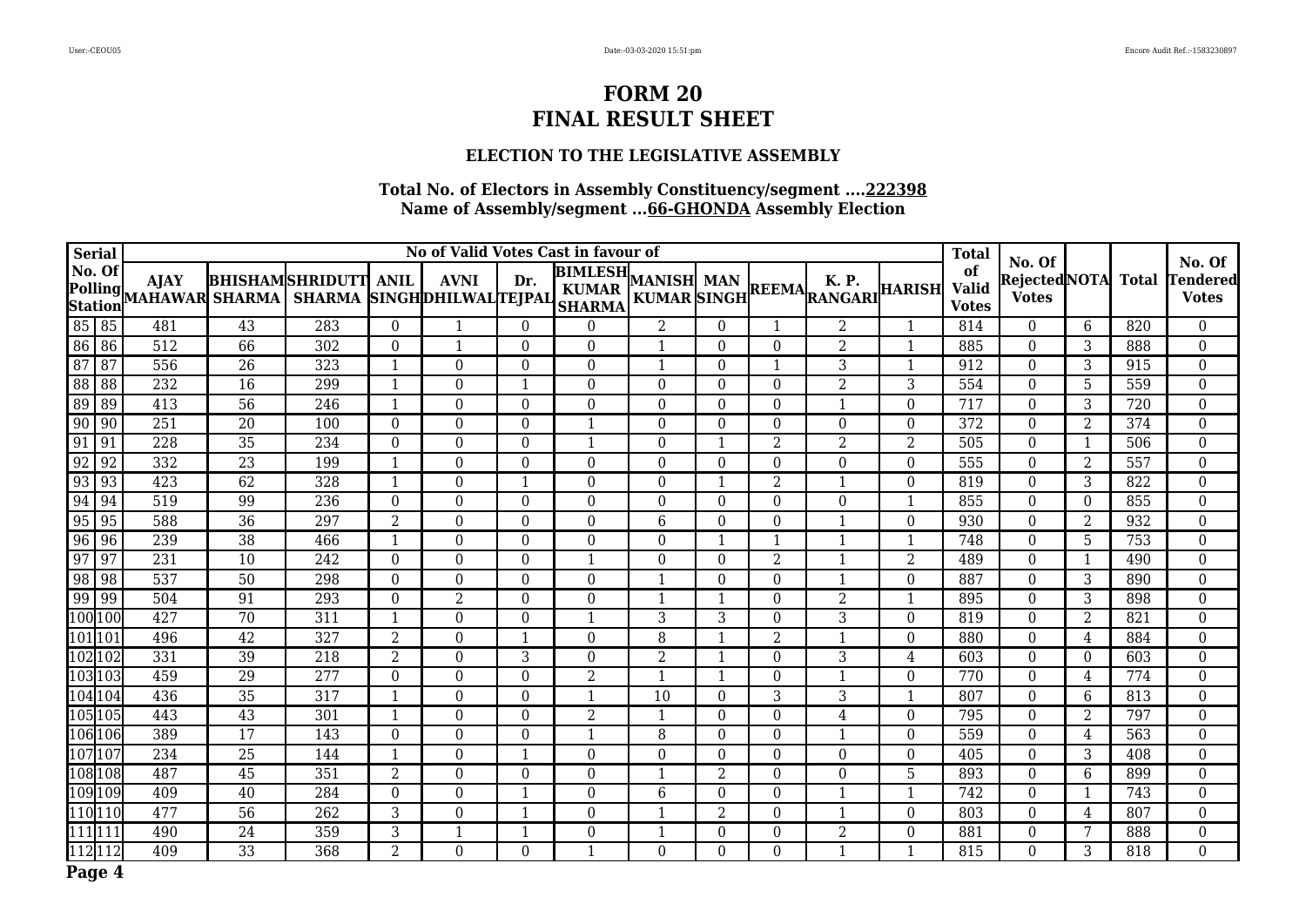### **ELECTION TO THE LEGISLATIVE ASSEMBLY**

| <b>Serial</b>   |                                   |                                      | No of Valid Votes Cast in favour of |                                                     |                |                |                  |                                                 |                |                |                |                                                 |                |                                    |                                          |                 |              | No. Of                          |
|-----------------|-----------------------------------|--------------------------------------|-------------------------------------|-----------------------------------------------------|----------------|----------------|------------------|-------------------------------------------------|----------------|----------------|----------------|-------------------------------------------------|----------------|------------------------------------|------------------------------------------|-----------------|--------------|---------------------------------|
| No. Of          | Polling<br><b>Station</b>         | <b>AJAY</b><br><b>MAHAWAR SHARMA</b> |                                     | <b>BHISHAMSHRIDUTT</b><br>SHARMA SINGHDHILWALTEJPAL | <b>ANIL</b>    | <b>AVNI</b>    | Dr.              | <b>BIMLESH</b><br><b>KUMAR</b><br><b>SHARMA</b> | MANISH MAN     |                |                | <b>K.P.</b><br>KUMAR SINGH REEMA RANGARI HARISH |                | of<br><b>Valid</b><br><b>Votes</b> | No. Of<br>Rejected NOTA <br><b>Votes</b> |                 | <b>Total</b> | <b>Tendered</b><br><b>Votes</b> |
| 85 85           |                                   | 481                                  | 43                                  | 283                                                 | $\Omega$       |                | $\mathbf{0}$     | $\Omega$                                        | $\overline{2}$ | $\Omega$       |                | $\overline{2}$                                  |                | 814                                | $\Omega$                                 | 6               | 820          | $\overline{0}$                  |
| 86              | 86                                | $\overline{512}$                     | 66                                  | $\overline{302}$                                    | $\Omega$       |                | $\Omega$         | $\Omega$                                        | 1              | $\Omega$       | $\Omega$       | $\overline{2}$                                  | -1             | 885                                | $\Omega$                                 | 3               | 888          | $\overline{0}$                  |
| 87              | 87                                | 556                                  | 26                                  | 323                                                 | $\mathbf{1}$   | $\Omega$       | $\Omega$         | $\Omega$                                        | $\mathbf 1$    | $\Omega$       |                | 3                                               | $\mathbf{1}$   | 912                                | $\Omega$                                 | 3               | 915          | $\boldsymbol{0}$                |
| 88              | 88                                | 232                                  | 16                                  | 299                                                 | -1             | $\Omega$       |                  | $\Omega$                                        | $\Omega$       | $\Omega$       | $\Omega$       | $\overline{2}$                                  | 3              | 554                                | $\Omega$                                 | 5               | 559          | $\overline{0}$                  |
| $\overline{89}$ | $\sqrt{89}$                       | 413                                  | 56                                  | 246                                                 | -1             | $\Omega$       | $\Omega$         | $\Omega$                                        | $\Omega$       | $\Omega$       | $\Omega$       | $\mathbf{1}$                                    | $\Omega$       | 717                                | $\Omega$                                 | 3               | 720          | $\boldsymbol{0}$                |
| 90              | $\sqrt{90}$                       | $\overline{251}$                     | $\overline{20}$                     | 100                                                 | $\Omega$       | $\overline{0}$ | $\Omega$         | $\mathbf{1}$                                    | $\Omega$       | $\Omega$       | $\overline{0}$ | $\boldsymbol{0}$                                | $\Omega$       | 372                                | $\boldsymbol{0}$                         | 2               | 374          | $\boldsymbol{0}$                |
| 91              | 91                                | 228                                  | 35                                  | 234                                                 | $\Omega$       | $\Omega$       | $\Omega$         | $\mathbf{1}$                                    | $\Omega$       |                | 2              | $\overline{2}$                                  | $\overline{2}$ | 505                                | $\Omega$                                 | $\mathbf{1}$    | 506          | $\overline{0}$                  |
| 92              | 92                                | 332                                  | $\overline{23}$                     | 199                                                 | $\mathbf{1}$   | $\Omega$       | $\Omega$         | $\Omega$                                        | $\Omega$       | $\Omega$       | $\theta$       | $\Omega$                                        | $\Omega$       | 555                                | $\Omega$                                 | 2               | 557          | $\boldsymbol{0}$                |
| 93              | 93                                | 423                                  | 62                                  | 328                                                 | $\mathbf{1}$   | $\Omega$       | $\mathbf{1}$     | $\Omega$                                        | $\Omega$       | -1             | 2              | $\mathbf{1}$                                    | $\Omega$       | 819                                | $\boldsymbol{0}$                         | 3               | 822          | $\overline{0}$                  |
| 94              | 94                                | 519                                  | 99                                  | 236                                                 | $\Omega$       | $\Omega$       | $\Omega$         | $\theta$                                        | $\Omega$       | $\Omega$       | $\Omega$       | $\theta$                                        | -1             | 855                                | $\Omega$                                 | $\Omega$        | 855          | $\boldsymbol{0}$                |
| 95              | $\sqrt{95}$                       | 588                                  | $\overline{36}$                     | 297                                                 | $\overline{2}$ | $\Omega$       | $\Omega$         | $\Omega$                                        | 6              | $\theta$       | $\Omega$       | $\mathbf{1}$                                    | $\theta$       | 930                                | $\Omega$                                 | 2               | 932          | $\boldsymbol{0}$                |
| 96              | 96                                | 239                                  | 38                                  | 466                                                 | 1              | $\overline{0}$ | $\boldsymbol{0}$ | $\boldsymbol{0}$                                | $\overline{0}$ | -1             |                | $\mathbf{1}$                                    | -1             | 748                                | $\boldsymbol{0}$                         | 5               | 753          | $\boldsymbol{0}$                |
| $\overline{97}$ | 97                                | 231                                  | 10                                  | 242                                                 | $\Omega$       | $\Omega$       | $\Omega$         | $\mathbf{1}$                                    | $\Omega$       | $\Omega$       | 2              | $\mathbf{1}$                                    | $\overline{2}$ | 489                                | $\Omega$                                 | $\mathbf{1}$    | 490          | $\boldsymbol{0}$                |
| $\overline{98}$ | 98                                | 537                                  | 50                                  | 298                                                 | $\Omega$       | $\Omega$       | $\Omega$         | $\Omega$                                        | $\mathbf{1}$   | $\Omega$       | $\Omega$       | $\mathbf{1}$                                    | $\theta$       | 887                                | $\Omega$                                 | 3               | 890          | $\boldsymbol{0}$                |
| 99              | $\sqrt{99}$                       | 504                                  | 91                                  | 293                                                 | $\theta$       | $\overline{2}$ | $\boldsymbol{0}$ | $\Omega$                                        | $\mathbf 1$    | -1             | $\overline{0}$ | $\overline{2}$                                  | $\mathbf{1}$   | 895                                | $\Omega$                                 | 3               | 898          | $\boldsymbol{0}$                |
| 100 100         |                                   | 427                                  | 70                                  | 311                                                 | -1             | $\Omega$       | $\Omega$         | $\mathbf{1}$                                    | 3              | 3              | $\theta$       | 3                                               | $\theta$       | 819                                | $\Omega$                                 | 2               | 821          | $\boldsymbol{0}$                |
| 101 101         |                                   | 496                                  | $\overline{42}$                     | 327                                                 | $\overline{2}$ | $\overline{0}$ |                  | $\Omega$                                        | 8              |                | $\overline{2}$ | 1                                               | $\theta$       | 880                                | $\mathbf{0}$                             | $\overline{4}$  | 884          | $\boldsymbol{0}$                |
| 102102          |                                   | 331                                  | 39                                  | 218                                                 | 2              | $\theta$       | 3                | $\Omega$                                        | 2              | $\mathbf 1$    | $\theta$       | 3                                               | 4              | 603                                | $\Omega$                                 | $\Omega$        | 603          | $\overline{0}$                  |
| 103103          |                                   | 459                                  | 29                                  | 277                                                 | $\theta$       | $\theta$       | $\Omega$         | $\overline{2}$                                  | -1             | -1             | $\theta$       | $\mathbf{1}$                                    | $\theta$       | 770                                | $\Omega$                                 | 4               | 774          | $\boldsymbol{0}$                |
|                 | 104104                            | 436                                  | $\overline{35}$                     | 317                                                 | $\mathbf{1}$   | $\overline{0}$ | $\Omega$         | $\mathbf{1}$                                    | 10             | $\Omega$       | 3              | 3                                               | $\mathbf{1}$   | 807                                | $\theta$                                 | 6               | 813          | $\mathbf 0$                     |
|                 | 105 105                           | 443                                  | 43                                  | 301                                                 | $\mathbf{1}$   | $\Omega$       | $\Omega$         | 2                                               | $\mathbf 1$    | $\Omega$       | $\Omega$       | 4                                               | $\Omega$       | 795                                | $\Omega$                                 | 2               | 797          | $\overline{0}$                  |
|                 | 106 106                           | 389                                  | 17                                  | 143                                                 | $\Omega$       | $\theta$       | $\Omega$         | 1                                               | 8              | $\Omega$       | $\overline{0}$ | 1                                               | $\theta$       | 559                                | $\Omega$                                 | 4               | 563          | 0                               |
| 107107          |                                   | 234                                  | 25                                  | 144                                                 | $\mathbf{1}$   | $\Omega$       | $\mathbf{1}$     | $\Omega$                                        | $\Omega$       | $\theta$       | $\Omega$       | $\Omega$                                        | $\theta$       | 405                                | $\Omega$                                 | 3               | 408          | $\boldsymbol{0}$                |
| 108 108         |                                   | 487                                  | $\overline{45}$                     | 351                                                 | $\overline{2}$ | $\overline{0}$ | $\mathbf{0}$     | $\mathbf{0}$                                    | 1              | $\overline{2}$ | $\mathbf{0}$   | $\mathbf{0}$                                    | 5              | 893                                | $\mathbf{0}$                             | 6               | 899          | $\boldsymbol{0}$                |
|                 | 109109                            | 409                                  | 40                                  | 284                                                 | $\Omega$       | $\theta$       |                  | $\Omega$                                        | 6              | $\theta$       | $\theta$       | 1                                               |                | 742                                | $\Omega$                                 |                 | 743          | $\boldsymbol{0}$                |
|                 | 110 110                           | 477                                  | $\overline{56}$                     | 262                                                 | 3              | $\Omega$       |                  | $\overline{0}$                                  | $\mathbf 1$    | $\overline{2}$ | $\overline{0}$ | $\mathbf{1}$                                    | $\mathbf{0}$   | 803                                | $\Omega$                                 | $\overline{4}$  | 807          | $\overline{0}$                  |
| 111111          |                                   | 490                                  | 24                                  | 359                                                 | 3              |                |                  | $\Omega$                                        | 1              | $\theta$       | $\Omega$       | $\overline{2}$                                  | $\theta$       | 881                                | $\Omega$                                 | $7\phantom{.0}$ | 888          | $\mathbf 0$                     |
|                 | $\overline{112}$ $\overline{112}$ | 409                                  | $\overline{33}$                     | 368                                                 | $\overline{2}$ | $\Omega$       | $\Omega$         | $\mathbf{1}$                                    | $\Omega$       | $\Omega$       | $\Omega$       | 1                                               |                | 815                                | $\Omega$                                 | 3               | 818          | $\overline{0}$                  |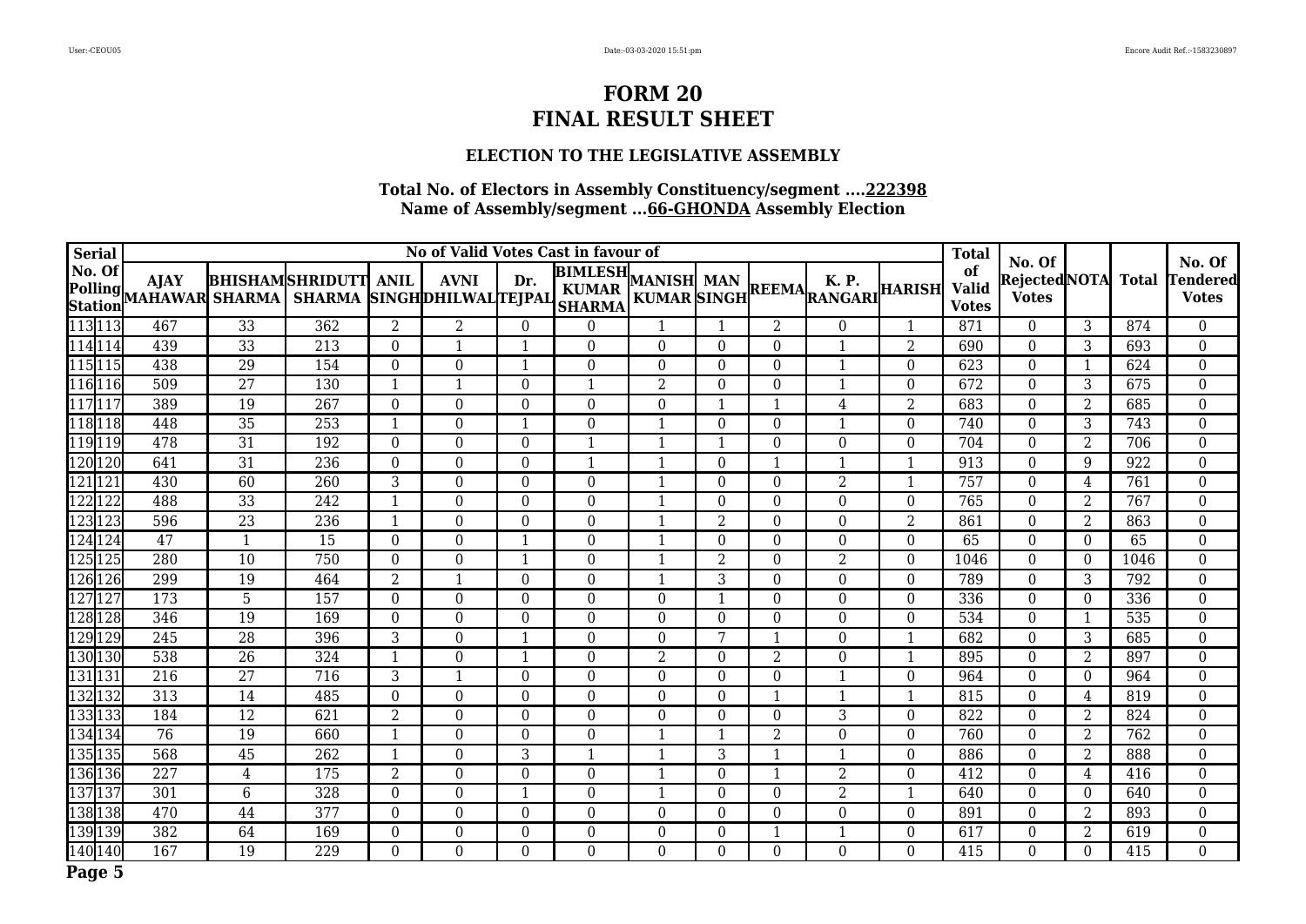### **ELECTION TO THE LEGISLATIVE ASSEMBLY**

| <b>Serial</b>    |                                  |                               |                 |                                                     |                |                  |              | No of Valid Votes Cast in favour of        |              |                |                  |                                                 |                | <b>Total</b>                       |                                          |                |                  |                                           |
|------------------|----------------------------------|-------------------------------|-----------------|-----------------------------------------------------|----------------|------------------|--------------|--------------------------------------------|--------------|----------------|------------------|-------------------------------------------------|----------------|------------------------------------|------------------------------------------|----------------|------------------|-------------------------------------------|
| No. Of           | <b>Polling</b><br><b>Station</b> | <b>AJAY</b><br>MAHAWAR SHARMA |                 | <b>BHISHAMSHRIDUTT</b><br>SHARMA SINGHDHILWALTEJPAL | <b>ANIL</b>    | <b>AVNI</b>      | Dr.          | <b>BIMLESH</b> MANISH MAN<br><b>SHARMA</b> |              |                |                  | <b>K.P.</b><br>KUMAR SINGH REEMA RANGARI HARISH |                | of<br><b>Valid</b><br><b>Votes</b> | No. Of<br>Rejected NOTA <br><b>Votes</b> |                | <b>Total</b>     | No. Of<br><b>Tendered</b><br><b>Votes</b> |
|                  | 113113                           | 467                           | 33              | 362                                                 | $\overline{2}$ | 2                | $\Omega$     | $\Omega$                                   | $\mathbf{1}$ | -1             | 2                | $\Omega$                                        | $\mathbf{1}$   | 871                                | $\Omega$                                 | 3              | 874              | $\overline{0}$                            |
|                  | 114 114                          | 439                           | $\overline{33}$ | 213                                                 | $\Omega$       |                  |              | $\mathbf{0}$                               | $\Omega$     | $\Omega$       | $\Omega$         | 1                                               | $\overline{2}$ | 690                                | $\Omega$                                 | $\overline{3}$ | 693              | $\overline{0}$                            |
|                  | 115115                           | 438                           | 29              | 154                                                 | $\Omega$       | $\Omega$         |              | $\Omega$                                   | $\Omega$     | $\theta$       | $\theta$         | 1                                               | $\Omega$       | 623                                | $\Omega$                                 |                | 624              | $\boldsymbol{0}$                          |
|                  | 116116                           | 509                           | $\overline{27}$ | 130                                                 | 1              |                  | $\Omega$     | $\mathbf{1}$                               | 2            | $\theta$       | $\Omega$         | 1                                               | $\theta$       | 672                                | $\boldsymbol{0}$                         | 3              | 675              | $\mathbf{0}$                              |
|                  | 117117                           | 389                           | 19              | 267                                                 | $\Omega$       | $\Omega$         | $\Omega$     | $\Omega$                                   | $\Omega$     |                |                  | 4                                               | 2              | 683                                | $\Omega$                                 | 2              | 685              | $\boldsymbol{0}$                          |
|                  | 118118                           | 448                           | $\overline{35}$ | 253                                                 | 1              | $\Omega$         |              | $\mathbf{0}$                               | -1           | $\Omega$       | $\overline{0}$   | 1                                               | $\Omega$       | 740                                | $\theta$                                 | 3              | 743              | $\mathbf{0}$                              |
|                  | 119119                           | 478                           | 31              | 192                                                 | $\Omega$       | $\Omega$         | $\Omega$     | 1                                          | $\mathbf{1}$ |                | $\boldsymbol{0}$ | $\boldsymbol{0}$                                | $\mathbf{0}$   | 704                                | $\mathbf{0}$                             | $\overline{2}$ | 706              | $\boldsymbol{0}$                          |
|                  | 120 120                          | 641                           | $\overline{31}$ | $\overline{236}$                                    | $\Omega$       | $\Omega$         | $\Omega$     | $\mathbf{1}$                               | $\mathbf 1$  | $\theta$       | -1               | 1                                               | -1             | 913                                | $\Omega$                                 | 9              | 922              | $\boldsymbol{0}$                          |
| $\overline{121}$ | 121                              | 430                           | 60              | 260                                                 | 3              | $\Omega$         | $\Omega$     | $\Omega$                                   | $\mathbf{1}$ | $\Omega$       | $\Omega$         | $\overline{2}$                                  | $\mathbf 1$    | 757                                | $\theta$                                 | 4              | 761              | $\overline{0}$                            |
|                  | 122122                           | 488                           | 33              | 242                                                 | -1             | $\theta$         | $\Omega$     | $\mathbf{0}$                               | -1           | $\theta$       | $\overline{0}$   | $\Omega$                                        | $\mathbf{0}$   | 765                                | $\theta$                                 | 2              | 767              | $\mathbf{0}$                              |
|                  | 123 123                          | 596                           | $\overline{23}$ | 236                                                 | 1              | $\Omega$         | $\Omega$     | $\mathbf{0}$                               | 1            | 2              | $\boldsymbol{0}$ | $\Omega$                                        | $\overline{2}$ | 861                                | $\Omega$                                 | 2              | 863              | $\boldsymbol{0}$                          |
|                  | $124$ 124                        | 47                            | $\mathbf{1}$    | 15                                                  | $\theta$       | $\Omega$         |              | $\boldsymbol{0}$                           | -1           | $\Omega$       | $\Omega$         | $\theta$                                        | $\Omega$       | 65                                 | $\theta$                                 | $\Omega$       | 65               | $\boldsymbol{0}$                          |
|                  | 125125                           | 280                           | 10              | 750                                                 | $\Omega$       | $\Omega$         |              | $\theta$                                   | $\mathbf 1$  | $\overline{2}$ | $\Omega$         | $\overline{2}$                                  | $\Omega$       | 1046                               | $\Omega$                                 | $\Omega$       | 1046             | $\overline{0}$                            |
|                  | 126126                           | 299                           | 19              | 464                                                 | $\overline{2}$ |                  | $\Omega$     | $\Omega$                                   | $\mathbf 1$  | 3              | $\Omega$         | $\Omega$                                        | $\theta$       | 789                                | $\theta$                                 | 3              | 792              | $\boldsymbol{0}$                          |
|                  | 127127                           | 173                           | $\overline{5}$  | 157                                                 | $\Omega$       | $\boldsymbol{0}$ | $\Omega$     | $\mathbf{0}$                               | $\Omega$     | -1             | $\boldsymbol{0}$ | $\boldsymbol{0}$                                | $\Omega$       | 336                                | $\overline{0}$                           | $\overline{0}$ | 336              | $\boldsymbol{0}$                          |
|                  | 128128                           | 346                           | 19              | 169                                                 | $\Omega$       | $\Omega$         | $\Omega$     | $\theta$                                   | $\Omega$     | $\Omega$       | $\Omega$         | $\Omega$                                        | $\Omega$       | 534                                | $\theta$                                 |                | 535              | $\mathbf{0}$                              |
|                  | 129 129                          | $\overline{245}$              | $\overline{28}$ | 396                                                 | 3              | $\Omega$         |              | $\Omega$                                   | $\Omega$     | 7              |                  | $\Omega$                                        |                | 682                                | $\Omega$                                 | 3              | 685              | $\boldsymbol{0}$                          |
|                  | 130 130                          | 538                           | 26              | 324                                                 | $\mathbf{1}$   | $\overline{0}$   | -1           | $\mathbf{0}$                               | 2            | $\Omega$       | 2                | $\mathbf{0}$                                    | -1             | 895                                | $\mathbf{0}$                             | 2              | 897              | $\overline{0}$                            |
|                  | 131 131                          | $\overline{216}$              | $\overline{27}$ | 716                                                 | $\overline{3}$ |                  | $\Omega$     | $\Omega$                                   | $\Omega$     | $\Omega$       | $\overline{0}$   | 1                                               | $\Omega$       | 964                                | $\Omega$                                 | $\Omega$       | 964              | $\overline{0}$                            |
|                  | 132132                           | 313                           | 14              | 485                                                 | $\Omega$       | $\Omega$         | $\Omega$     | $\Omega$                                   | $\Omega$     | $\theta$       |                  | 1                                               | $\mathbf 1$    | 815                                | $\theta$                                 | 4              | 819              | $\mathbf{0}$                              |
|                  | 133133                           | 184                           | 12              | 621                                                 | 2              | $\Omega$         | $\Omega$     | $\Omega$                                   | $\Omega$     | $\theta$       | $\Omega$         | 3                                               | $\theta$       | 822                                | $\Omega$                                 | 2              | 824              | $\overline{0}$                            |
|                  | 134 134                          | 76                            | $\overline{19}$ | 660                                                 | -1             | $\Omega$         | $\Omega$     | $\theta$                                   | -1           |                | 2                | $\theta$                                        | $\Omega$       | 760                                | $\theta$                                 | 2              | $\overline{762}$ | $\boldsymbol{0}$                          |
|                  | 135 135                          | 568                           | 45              | 262                                                 | $\mathbf{1}$   | $\Omega$         | 3            | $\mathbf{1}$                               | $\mathbf 1$  | 3              |                  | 1                                               | $\mathbf{0}$   | 886                                | $\Omega$                                 | $\overline{2}$ | 888              | $\boldsymbol{0}$                          |
|                  | 136 136                          | 227                           | $\overline{4}$  | 175                                                 | $\overline{2}$ | $\Omega$         | $\Omega$     | $\boldsymbol{0}$                           | $\mathbf{1}$ | $\Omega$       |                  | $\overline{2}$                                  | $\Omega$       | 412                                | $\mathbf{0}$                             | 4              | 416              | $\boldsymbol{0}$                          |
|                  | 137137                           | 301                           | 6               | 328                                                 | $\Omega$       | $\Omega$         |              | $\Omega$                                   | -1           | $\Omega$       | $\Omega$         | 2                                               |                | 640                                | $\Omega$                                 | $\Omega$       | 640              | $\mathbf{0}$                              |
|                  | I38 <sub>138</sub>               | 470                           | 44              | $\overline{377}$                                    | $\Omega$       | $\Omega$         | $\Omega$     | $\Omega$                                   | $\Omega$     | $\theta$       | $\boldsymbol{0}$ | $\theta$                                        | $\theta$       | 891                                | $\theta$                                 | 2              | 893              | $\mathbf{0}$                              |
|                  | 139 139                          | 382                           | 64              | 169                                                 | $\Omega$       | $\mathbf{0}$     | $\mathbf{0}$ | $\overline{0}$                             | $\Omega$     | $\theta$       |                  | 1                                               | $\theta$       | 617                                | $\overline{0}$                           | $\overline{2}$ | 619              | $\boldsymbol{0}$                          |
|                  | 140140                           | 167                           | 19              | 229                                                 | $\Omega$       | $\Omega$         | $\Omega$     | $\Omega$                                   | $\Omega$     | $\Omega$       | $\Omega$         | $\theta$                                        | $\Omega$       | 415                                | $\Omega$                                 | $\Omega$       | 415              | $\overline{0}$                            |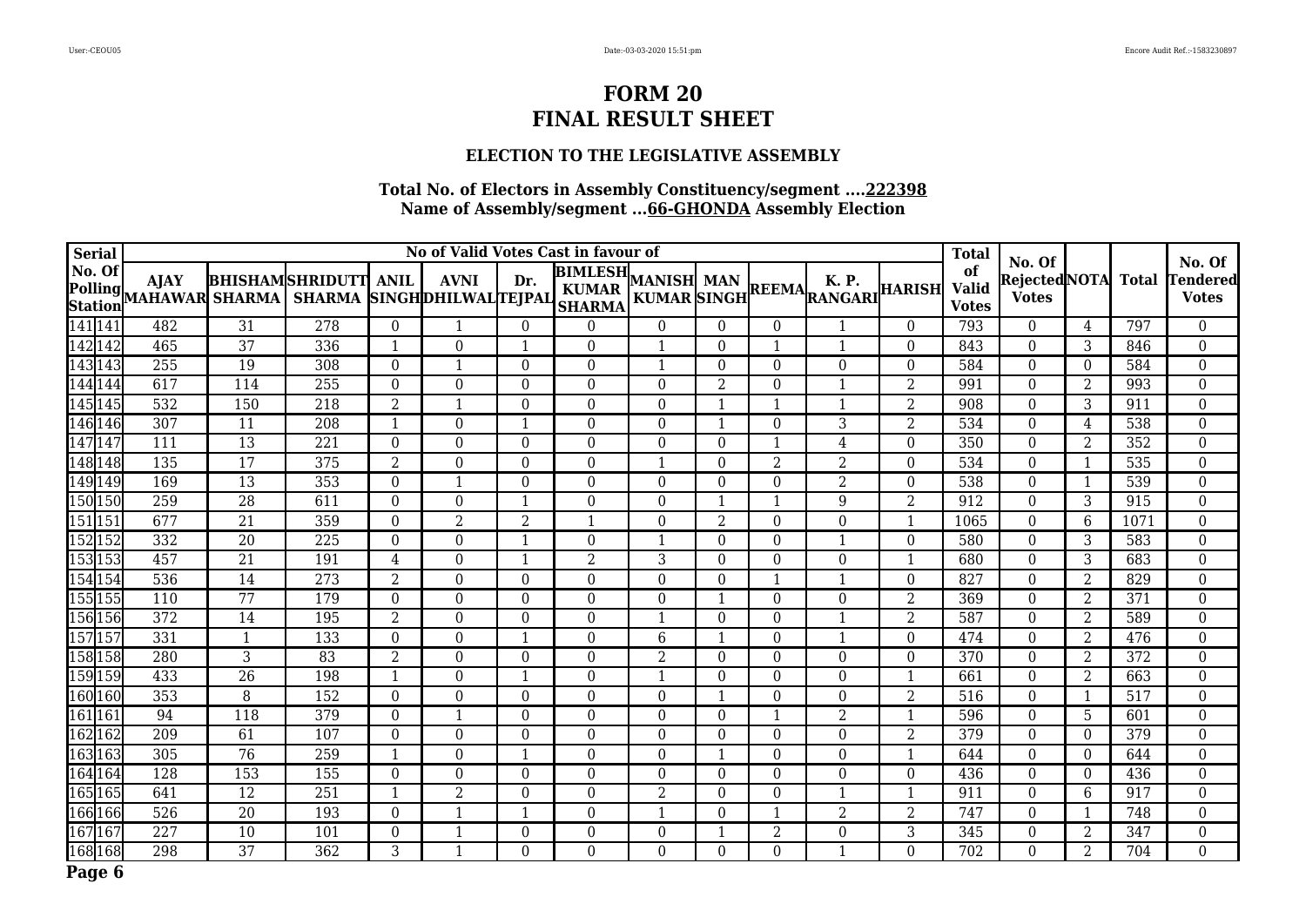### **ELECTION TO THE LEGISLATIVE ASSEMBLY**

| <b>Serial</b> |                      |                                       |                 |                                                     |                |                |                  | No of Valid Votes Cast in favour of                        |             |                |                  |                                                               |                | <b>Total</b>                       |                                          |                |              | No. Of                          |
|---------------|----------------------|---------------------------------------|-----------------|-----------------------------------------------------|----------------|----------------|------------------|------------------------------------------------------------|-------------|----------------|------------------|---------------------------------------------------------------|----------------|------------------------------------|------------------------------------------|----------------|--------------|---------------------------------|
| No. Of        |                      | <b>AJAY</b><br>Polling MAHAWAR SHARMA |                 | <b>BHISHAMSHRIDUTT</b><br>SHARMA SINGHDHILWALTEJPAL | <b>ANIL</b>    | <b>AVNI</b>    | Dr.              | <b>BIMLESH</b> MANISH MAN<br><b>KUMAR</b><br><b>SHARMA</b> |             |                |                  | K. P.<br>MANISH MAN REEMAL N. P.<br>KUMAR SINGH REEMA RANGARI |                | of<br><b>Valid</b><br><b>Votes</b> | No. Of<br>Rejected NOTA <br><b>Votes</b> |                | <b>Total</b> | <b>Tendered</b><br><b>Votes</b> |
| 141 141       |                      | 482                                   | 31              | 278                                                 | $\theta$       | -1             | $\overline{0}$   | $\Omega$                                                   | $\theta$    | $\Omega$       | $\overline{0}$   | 1                                                             | $\theta$       | 793                                | $\theta$                                 | $\overline{4}$ | 797          | $\overline{0}$                  |
|               | 142 142              | 465                                   | $\overline{37}$ | 336                                                 | -1             | $\Omega$       |                  | $\theta$                                                   | 1           | $\Omega$       |                  | 1                                                             | $\theta$       | 843                                | $\Omega$                                 | 3              | 846          | $\overline{0}$                  |
|               | 143143               | 255                                   | 19              | 308                                                 | $\Omega$       |                | $\Omega$         | $\Omega$                                                   | $\mathbf 1$ | $\theta$       | $\theta$         | $\Omega$                                                      | $\Omega$       | 584                                | $\Omega$                                 | $\Omega$       | 584          | $\boldsymbol{0}$                |
|               | 144 144              | 617                                   | 114             | 255                                                 | $\theta$       | $\theta$       | $\Omega$         | $\overline{0}$                                             | $\theta$    | 2              | $\overline{0}$   | -1                                                            | 2              | 991                                | $\mathbf{0}$                             | 2              | 993          | $\overline{0}$                  |
|               | 145145               | 532                                   | 150             | 218                                                 | $\overline{2}$ |                | $\boldsymbol{0}$ | $\Omega$                                                   | $\Omega$    |                |                  | 1                                                             | $\overline{2}$ | 908                                | $\Omega$                                 | $\overline{3}$ | 911          | $\boldsymbol{0}$                |
|               | 146146               | 307                                   | 11              | $\overline{208}$                                    | $\mathbf{1}$   | $\theta$       |                  | $\Omega$                                                   | $\Omega$    | -1             | $\theta$         | 3                                                             | $\overline{2}$ | 534                                | $\theta$                                 | 4              | 538          | $\boldsymbol{0}$                |
|               | 147 147              | 111                                   | 13              | 221                                                 | $\theta$       | $\Omega$       | $\Omega$         | $\Omega$                                                   | $\Omega$    | $\theta$       |                  | 4                                                             | $\Omega$       | 350                                | $\theta$                                 | 2              | 352          | $\mathbf{0}$                    |
|               | 148148               | 135                                   | $\overline{17}$ | 375                                                 | $\overline{2}$ | $\Omega$       | $\Omega$         | $\theta$                                                   | -1          | $\theta$       | 2                | 2                                                             | $\Omega$       | 534                                | $\Omega$                                 |                | 535          | $\boldsymbol{0}$                |
|               | 149 149              | 169                                   | 13              | 353                                                 | $\Omega$       |                | $\theta$         | $\Omega$                                                   | $\Omega$    | $\Omega$       | $\Omega$         | $\overline{2}$                                                | $\Omega$       | 538                                | $\Omega$                                 |                | 539          | $\boldsymbol{0}$                |
|               | 150150               | 259                                   | 28              | 611                                                 | $\Omega$       | $\theta$       |                  | $\Omega$                                                   | $\Omega$    |                |                  | 9                                                             | $\overline{2}$ | 912                                | $\theta$                                 | 3              | 915          | $\mathbf{0}$                    |
|               | $\overline{151 151}$ | 677                                   | $\overline{21}$ | $\overline{359}$                                    | $\Omega$       | 2              | 2                | $\mathbf{1}$                                               | $\Omega$    | 2              | $\boldsymbol{0}$ | $\Omega$                                                      | -1             | 1065                               | $\Omega$                                 | 6              | 1071         | $\boldsymbol{0}$                |
|               | 152152               | 332                                   | $\overline{20}$ | 225                                                 | $\theta$       | $\Omega$       |                  | $\boldsymbol{0}$                                           | -1          | $\theta$       | $\Omega$         | 1                                                             | $\theta$       | 580                                | $\theta$                                 | 3              | 583          | $\boldsymbol{0}$                |
|               | 153153               | 457                                   | 21              | 191                                                 | 4              | $\theta$       |                  | 2                                                          | 3           | $\theta$       | $\theta$         | $\Omega$                                                      | -1             | 680                                | $\theta$                                 | 3              | 683          | $\mathbf{0}$                    |
|               | $\sqrt{154}$ 154     | 536                                   | 14              | $\overline{273}$                                    | $\overline{2}$ | $\Omega$       | $\Omega$         | $\Omega$                                                   | $\Omega$    | $\theta$       | -1               | 1                                                             | $\theta$       | 827                                | $\theta$                                 | 2              | 829          | $\boldsymbol{0}$                |
|               | 155155               | 110                                   | 77              | 179                                                 | $\Omega$       | $\Omega$       | $\Omega$         | $\theta$                                                   | $\Omega$    | -1             | $\boldsymbol{0}$ | $\theta$                                                      | $\overline{2}$ | 369                                | $\overline{0}$                           | 2              | 371          | $\overline{0}$                  |
|               | 156156               | 372                                   | 14              | 195                                                 | 2              | $\Omega$       | $\Omega$         | $\Omega$                                                   | $\mathbf 1$ | $\Omega$       | $\Omega$         | 1                                                             | $\overline{2}$ | 587                                | $\Omega$                                 | 2              | 589          | $\boldsymbol{0}$                |
|               | 157 157              | 331                                   | $\mathbf{1}$    | 133                                                 | $\Omega$       | $\Omega$       |                  | $\Omega$                                                   | 6           | -1             | $\boldsymbol{0}$ | 1                                                             | $\mathbf{0}$   | 474                                | $\Omega$                                 | 2              | 476          | $\boldsymbol{0}$                |
|               | 158158               | 280                                   | 3               | 83                                                  | 2              | $\overline{0}$ | $\theta$         | $\overline{0}$                                             | 2           | $\overline{0}$ | $\overline{0}$   | $\boldsymbol{0}$                                              | $\theta$       | 370                                | $\overline{0}$                           | 2              | 372          | $\boldsymbol{0}$                |
|               | 59 159               | 433                                   | $\overline{26}$ | 198                                                 | $\mathbf{1}$   | $\Omega$       |                  | $\Omega$                                                   | 1           | $\Omega$       | $\Omega$         | $\Omega$                                                      |                | 661                                | $\Omega$                                 | 2              | 663          | $\mathbf{0}$                    |
|               | 160 160              | 353                                   | 8               | 152                                                 | $\Omega$       | $\Omega$       | $\mathbf{0}$     | $\Omega$                                                   | $\Omega$    | -1             | $\boldsymbol{0}$ | $\Omega$                                                      | $\overline{2}$ | 516                                | $\Omega$                                 |                | 517          | $\boldsymbol{0}$                |
| $161$ 161     |                      | 94                                    | 118             | 379                                                 | $\Omega$       |                | $\Omega$         | $\Omega$                                                   | $\Omega$    | $\theta$       |                  | 2                                                             | $\mathbf{1}$   | 596                                | $\mathbf{0}$                             | 5              | 601          | $\boldsymbol{0}$                |
|               | 162162               | 209                                   | 61              | 107                                                 | $\Omega$       | $\Omega$       | $\Omega$         | $\Omega$                                                   | $\Omega$    | $\Omega$       | $\Omega$         | $\theta$                                                      | $\overline{2}$ | 379                                | $\Omega$                                 | $\Omega$       | 379          | $\boldsymbol{0}$                |
|               | 163163               | 305                                   | 76              | 259                                                 | $\mathbf{1}$   | $\Omega$       |                  | $\Omega$                                                   | $\Omega$    | -1             | $\Omega$         | $\theta$                                                      | $\mathbf{1}$   | 644                                | $\theta$                                 | $\Omega$       | 644          | $\boldsymbol{0}$                |
|               | 164164               | $\overline{128}$                      | 153             | 155                                                 | $\theta$       | $\Omega$       | $\theta$         | $\theta$                                                   | $\Omega$    | $\Omega$       | $\Omega$         | $\Omega$                                                      | $\Omega$       | 436                                | $\theta$                                 | $\overline{0}$ | 436          | $\boldsymbol{0}$                |
|               | 165165               | 641                                   | 12              | 251                                                 | $\mathbf 1$    | 2              | $\Omega$         | $\theta$                                                   | 2           | $\Omega$       | $\Omega$         | 1                                                             |                | 911                                | $\Omega$                                 | 6              | 917          | $\mathbf{0}$                    |
|               | 166166               | 526                                   | $\overline{20}$ | 193                                                 | $\overline{0}$ |                |                  | $\overline{0}$                                             | -1          | $\theta$       |                  | 2                                                             | $\overline{2}$ | 747                                | $\overline{0}$                           | 1              | 748          | $\boldsymbol{0}$                |
|               | 167167               | 227                                   | 10              | 101                                                 | $\Omega$       |                | $\mathbf{0}$     | $\boldsymbol{0}$                                           | $\Omega$    |                | $\overline{2}$   | $\boldsymbol{0}$                                              | 3              | 345                                | $\mathbf{0}$                             | $\overline{2}$ | 347          | $\boldsymbol{0}$                |
|               | 168168               | 298                                   | $\overline{37}$ | $\overline{362}$                                    | 3              |                | $\Omega$         | $\Omega$                                                   | $\Omega$    | $\Omega$       | $\Omega$         | $\mathbf{1}$                                                  | $\Omega$       | $\overline{702}$                   | $\Omega$                                 | 2              | 704          | $\overline{0}$                  |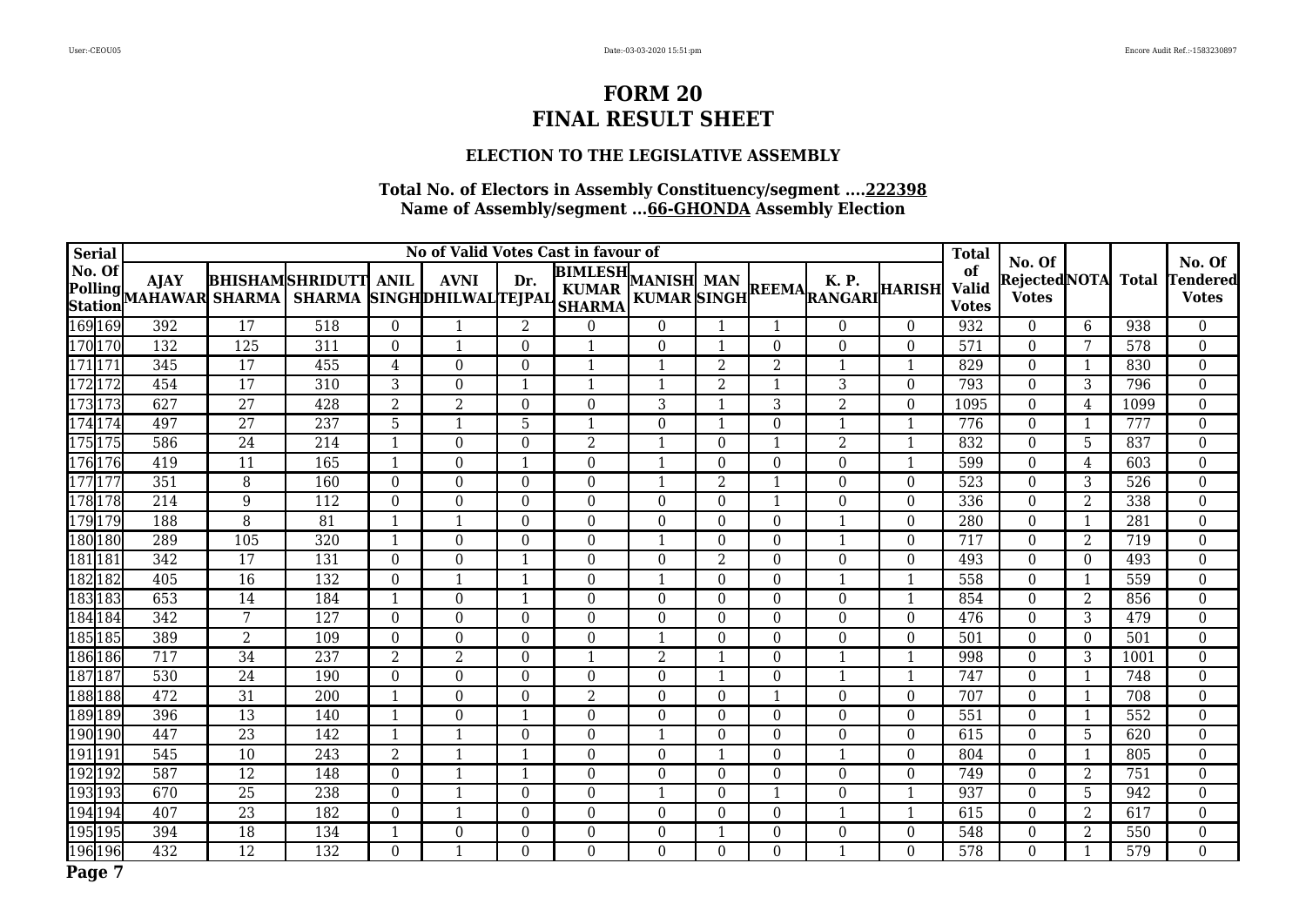### **ELECTION TO THE LEGISLATIVE ASSEMBLY**

| <b>Serial</b> |         |                                       |                  |                                                     |                |                |                  | No of Valid Votes Cast in favour of        |                |                |                  |                                           |              | <b>Total</b>                       |                                          |                |                  |                                           |
|---------------|---------|---------------------------------------|------------------|-----------------------------------------------------|----------------|----------------|------------------|--------------------------------------------|----------------|----------------|------------------|-------------------------------------------|--------------|------------------------------------|------------------------------------------|----------------|------------------|-------------------------------------------|
| No. Of        |         | <b>AJAY</b><br>Polling MAHAWAR SHARMA |                  | <b>BHISHAMSHRIDUTT</b><br>SHARMA SINGHDHILWALTEJPAL | <b>ANIL</b>    | <b>AVNI</b>    | Dr.              | <b>BIMLESH</b> MANISH MAN<br><b>SHARMA</b> |                |                |                  | K. P.<br>KUMAR SINGH REEMA RANGARI HARISH |              | of<br><b>Valid</b><br><b>Votes</b> | No. Of<br>Rejected NOTA <br><b>Votes</b> |                | <b>Total</b>     | No. Of<br><b>Tendered</b><br><b>Votes</b> |
|               | 169 169 | 392                                   | 17               | 518                                                 | $\theta$       |                | 2                | $\Omega$                                   | $\Omega$       |                | $\mathbf{1}$     | $\theta$                                  | $\theta$     | 932                                | $\theta$                                 | 6              | 938              | $\overline{0}$                            |
|               | 170 170 | 132                                   | $\overline{125}$ | 311                                                 | $\Omega$       |                | $\Omega$         | $\mathbf{1}$                               | $\Omega$       | -1             | $\Omega$         | $\theta$                                  | $\theta$     | 571                                | $\mathbf{0}$                             | 7              | $\overline{578}$ | $\overline{0}$                            |
| 171 171       |         | 345                                   | 17               | 455                                                 | 4              | $\Omega$       | $\Omega$         | $\mathbf{1}$                               | $\mathbf{1}$   | $\mathcal{D}$  | $\overline{2}$   | $\mathbf{1}$                              | $\mathbf{1}$ | 829                                | $\theta$                                 |                | 830              | $\boldsymbol{0}$                          |
| 172 172       |         | 454                                   | $\overline{17}$  | 310                                                 | 3              | $\Omega$       |                  | $\mathbf 1$                                | $\mathbf 1$    | $\overline{2}$ |                  | 3                                         | $\Omega$     | 793                                | $\Omega$                                 | 3              | 796              | $\boldsymbol{0}$                          |
|               | 173173  | 627                                   | 27               | 428                                                 | $\overline{2}$ | $\overline{2}$ | $\Omega$         | $\Omega$                                   | 3              | -1             | 3                | $\overline{2}$                            | $\Omega$     | 1095                               | $\Omega$                                 | 4              | 1099             | $\boldsymbol{0}$                          |
|               | 174 174 | 497                                   | $\overline{27}$  | 237                                                 | 5              |                | 5                | $\mathbf{1}$                               | $\Omega$       | -1             | $\mathbf{0}$     | $\mathbf{1}$                              |              | 776                                | $\Omega$                                 |                | 777              | $\boldsymbol{0}$                          |
|               | 175175  | 586                                   | 24               | 214                                                 | -1             | $\theta$       | $\Omega$         | 2                                          | -1             | $\theta$       |                  | $\overline{2}$                            | -1           | 832                                | $\Omega$                                 | 5              | 837              | 0                                         |
|               | 176 176 | 419                                   | 11               | 165                                                 | -1             | $\Omega$       | $\mathbf{1}$     | $\Omega$                                   | $\mathbf 1$    | $\Omega$       | $\theta$         | $\Omega$                                  | -1           | 599                                | $\Omega$                                 | 4              | 603              | $\boldsymbol{0}$                          |
|               | 177177  | 351                                   | 8                | 160                                                 | $\Omega$       | $\Omega$       | $\Omega$         | $\Omega$                                   | $\mathbf 1$    | $\overline{2}$ |                  | $\theta$                                  | $\theta$     | 523                                | $\Omega$                                 | 3              | 526              | $\boldsymbol{0}$                          |
|               | 178178  | 214                                   | 9                | 112                                                 | $\theta$       | $\Omega$       | $\Omega$         | $\theta$                                   | $\Omega$       | $\Omega$       |                  | $\Omega$                                  | $\theta$     | 336                                | $\Omega$                                 | 2              | 338              | $\boldsymbol{0}$                          |
|               | 179179  | 188                                   | 8                | $\overline{81}$                                     | $\mathbf{1}$   |                | $\Omega$         | $\Omega$                                   | $\Omega$       | $\theta$       | $\theta$         | 1                                         | $\Omega$     | 280                                | $\theta$                                 | $\mathbf{1}$   | 281              | $\boldsymbol{0}$                          |
|               | 180 180 | 289                                   | 105              | 320                                                 | $\mathbf{1}$   | $\Omega$       | $\Omega$         | $\Omega$                                   | $\mathbf 1$    | $\Omega$       | $\Omega$         | $\mathbf{1}$                              | $\Omega$     | 717                                | $\Omega$                                 | 2              | 719              | $\overline{0}$                            |
| 181 181       |         | $\overline{342}$                      | 17               | 131                                                 | $\theta$       | $\Omega$       | $\mathbf{1}$     | $\mathbf{0}$                               | $\Omega$       | $\overline{2}$ | $\boldsymbol{0}$ | $\theta$                                  | $\Omega$     | 493                                | $\Omega$                                 | $\Omega$       | 493              | $\boldsymbol{0}$                          |
| 182182        |         | 405                                   | 16               | 132                                                 | $\Omega$       |                | $\mathbf{1}$     | $\Omega$                                   | $\mathbf 1$    | $\theta$       | $\Omega$         | $\mathbf{1}$                              | 1            | 558                                | $\Omega$                                 | 1              | 559              | $\boldsymbol{0}$                          |
|               | 183183  | 653                                   | 14               | 184                                                 | $\mathbf{1}$   | $\Omega$       |                  | $\Omega$                                   | $\Omega$       | $\Omega$       | $\Omega$         | $\theta$                                  | $\mathbf{1}$ | 854                                | $\Omega$                                 | 2              | 856              | $\overline{0}$                            |
|               | 184184  | 342                                   | 7                | 127                                                 | $\theta$       | $\Omega$       | $\Omega$         | $\Omega$                                   | $\Omega$       | $\Omega$       | $\Omega$         | $\theta$                                  | $\theta$     | 476                                | $\Omega$                                 | 3              | 479              | 0                                         |
|               | 185 185 | 389                                   | $\overline{2}$   | 109                                                 | $\theta$       | $\Omega$       | $\Omega$         | $\Omega$                                   | -1             | $\Omega$       | $\Omega$         | $\theta$                                  | $\theta$     | 501                                | $\theta$                                 | $\theta$       | 501              | $\boldsymbol{0}$                          |
|               | 186186  | 717                                   | $\overline{34}$  | 237                                                 | $\overline{2}$ | 2              | $\Omega$         | $\mathbf 1$                                | $\overline{2}$ | -1             | $\boldsymbol{0}$ | $\mathbf 1$                               |              | 998                                | $\Omega$                                 | 3              | 1001             | $\boldsymbol{0}$                          |
| 187187        |         | 530                                   | 24               | 190                                                 | $\theta$       | $\Omega$       | $\Omega$         | $\Omega$                                   | $\Omega$       | -1             | $\Omega$         | $\mathbf{1}$                              | -1           | 747                                | $\Omega$                                 | 1              | 748              | $\boldsymbol{0}$                          |
|               | 188 188 | 472                                   | 31               | 200                                                 | -1             | $\Omega$       | $\Omega$         | $\overline{2}$                             | $\Omega$       | $\Omega$       |                  | $\theta$                                  | $\theta$     | 707                                | $\theta$                                 | 1              | 708              | $\boldsymbol{0}$                          |
| 189 189       |         | 396                                   | 13               | 140                                                 | $\mathbf{1}$   | $\Omega$       |                  | $\Omega$                                   | $\Omega$       | $\Omega$       | $\Omega$         | $\theta$                                  | $\theta$     | 551                                | $\Omega$                                 |                | 552              | $\overline{0}$                            |
| 190 190       |         | 447                                   | $\overline{23}$  | 142                                                 | $\mathbf{1}$   |                | $\Omega$         | $\Omega$                                   |                | $\Omega$       | $\theta$         | $\Omega$                                  | $\theta$     | 615                                | $\theta$                                 | 5              | 620              | $\boldsymbol{0}$                          |
| 191 191       |         | 545                                   | 10               | 243                                                 | 2              | -1             | $\mathbf{1}$     | $\mathbf{0}$                               | $\Omega$       | -1             | $\Omega$         | $\mathbf{1}$                              | $\Omega$     | 804                                | $\theta$                                 | 1              | 805              | $\boldsymbol{0}$                          |
|               | 192 192 | 587                                   | $\overline{12}$  | 148                                                 | $\theta$       |                |                  | $\Omega$                                   | $\Omega$       | $\theta$       | $\Omega$         | $\theta$                                  | $\theta$     | 749                                | $\mathbf{0}$                             | $\overline{2}$ | $\overline{751}$ | $\boldsymbol{0}$                          |
|               | 193193  | 670                                   | 25               | 238                                                 | $\Omega$       |                | $\Omega$         | $\Omega$                                   |                | $\Omega$       |                  | $\theta$                                  |              | 937                                | $\Omega$                                 | 5              | 942              | $\boldsymbol{0}$                          |
|               | 194 194 | 407                                   | 23               | 182                                                 | $\Omega$       | -1             | $\Omega$         | $\overline{0}$                             | $\Omega$       | $\theta$       | $\overline{0}$   | $\mathbf{1}$                              | 1            | 615                                | $\overline{0}$                           | 2              | 617              | $\overline{0}$                            |
|               | 195195  | 394                                   | 18               | 134                                                 | 1              | $\Omega$       | $\boldsymbol{0}$ | $\Omega$                                   | $\Omega$       |                | $\theta$         | $\theta$                                  | $\theta$     | 548                                | $\Omega$                                 | 2              | 550              | $\boldsymbol{0}$                          |
|               | 196 196 | 432                                   | $\overline{12}$  | 132                                                 | $\Omega$       |                | $\Omega$         | $\Omega$                                   | $\Omega$       | $\Omega$       | $\Omega$         | $\mathbf 1$                               | $\Omega$     | 578                                | $\Omega$                                 |                | 579              | $\overline{0}$                            |